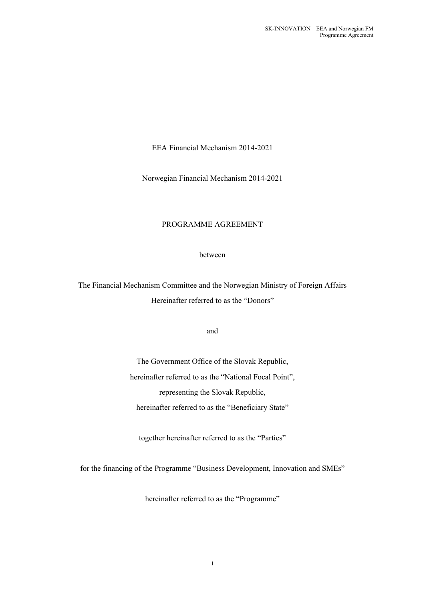EEA Financial Mechanism 2014-2021

Norwegian Financial Mechanism 2014-2021

# PROGRAMME AGREEMENT

between

The Financial Mechanism Committee and the Norwegian Ministry of Foreign Affairs Hereinafter referred to as the "Donors"

and

The Government Office of the Slovak Republic, hereinafter referred to as the "National Focal Point", representing the Slovak Republic, hereinafter referred to as the "Beneficiary State"

together hereinafter referred to as the "Parties"

for the financing of the Programme "Business Development, Innovation and SMEs"

hereinafter referred to as the "Programme"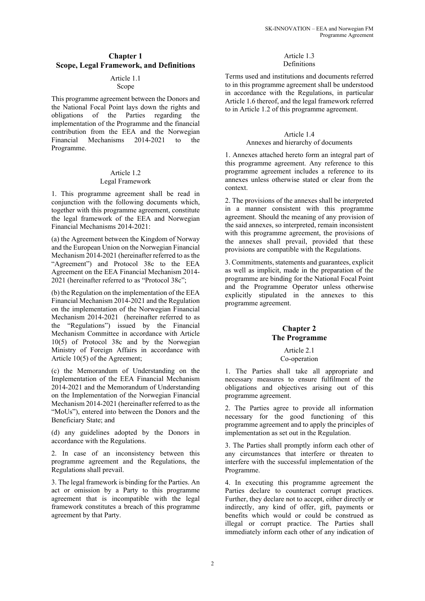# **Chapter 1 Scope, Legal Framework, and Definitions**

# Article 1.1

# Scope

This programme agreement between the Donors and the National Focal Point lays down the rights and obligations of the Parties regarding the implementation of the Programme and the financial contribution from the EEA and the Norwegian Financial Mechanisms 2014-2021 to the Programme.

#### Article 1.2 Legal Framework

1. This programme agreement shall be read in conjunction with the following documents which, together with this programme agreement, constitute the legal framework of the EEA and Norwegian Financial Mechanisms 2014-2021:

(a) the Agreement between the Kingdom of Norway and the European Union on the Norwegian Financial Mechanism 2014-2021 (hereinafter referred to as the "Agreement") and Protocol 38c to the EEA Agreement on the EEA Financial Mechanism 2014- 2021 (hereinafter referred to as "Protocol 38c";

(b) the Regulation on the implementation of the EEA Financial Mechanism 2014-2021 and the Regulation on the implementation of the Norwegian Financial Mechanism 2014-2021 (hereinafter referred to as the "Regulations") issued by the Financial Mechanism Committee in accordance with Article 10(5) of Protocol 38c and by the Norwegian Ministry of Foreign Affairs in accordance with Article 10(5) of the Agreement;

(c) the Memorandum of Understanding on the Implementation of the EEA Financial Mechanism 2014-2021 and the Memorandum of Understanding on the Implementation of the Norwegian Financial Mechanism 2014-2021 (hereinafter referred to as the "MoUs"), entered into between the Donors and the Beneficiary State; and

(d) any guidelines adopted by the Donors in accordance with the Regulations.

2. In case of an inconsistency between this programme agreement and the Regulations, the Regulations shall prevail.

3. The legal framework is binding for the Parties. An act or omission by a Party to this programme agreement that is incompatible with the legal framework constitutes a breach of this programme agreement by that Party.

#### Article 1.3 Definitions

Terms used and institutions and documents referred to in this programme agreement shall be understood in accordance with the Regulations, in particular Article 1.6 thereof, and the legal framework referred to in Article 1.2 of this programme agreement.

#### Article 1.4

#### Annexes and hierarchy of documents

1. Annexes attached hereto form an integral part of this programme agreement. Any reference to this programme agreement includes a reference to its annexes unless otherwise stated or clear from the context.

2. The provisions of the annexes shall be interpreted in a manner consistent with this programme agreement. Should the meaning of any provision of the said annexes, so interpreted, remain inconsistent with this programme agreement, the provisions of the annexes shall prevail, provided that these provisions are compatible with the Regulations.

3. Commitments, statements and guarantees, explicit as well as implicit, made in the preparation of the programme are binding for the National Focal Point and the Programme Operator unless otherwise explicitly stipulated in the annexes to this programme agreement.

## **Chapter 2 The Programme**

#### Article 2.1 Co-operation

1. The Parties shall take all appropriate and necessary measures to ensure fulfilment of the obligations and objectives arising out of this programme agreement.

2. The Parties agree to provide all information necessary for the good functioning of this programme agreement and to apply the principles of implementation as set out in the Regulation.

3. The Parties shall promptly inform each other of any circumstances that interfere or threaten to interfere with the successful implementation of the Programme.

4. In executing this programme agreement the Parties declare to counteract corrupt practices. Further, they declare not to accept, either directly or indirectly, any kind of offer, gift, payments or benefits which would or could be construed as illegal or corrupt practice. The Parties shall immediately inform each other of any indication of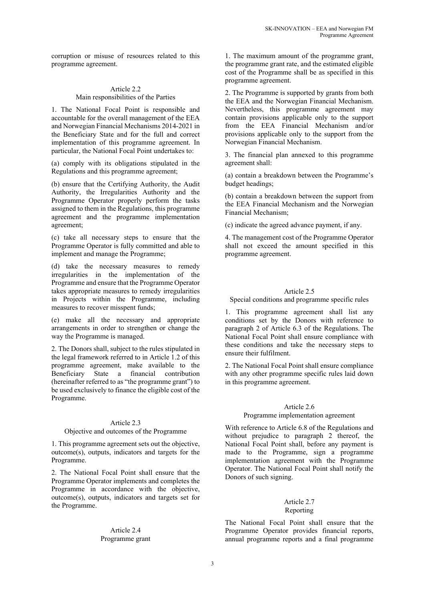corruption or misuse of resources related to this programme agreement.

#### Article 2.2 Main responsibilities of the Parties

1. The National Focal Point is responsible and accountable for the overall management of the EEA and Norwegian Financial Mechanisms 2014-2021 in the Beneficiary State and for the full and correct implementation of this programme agreement. In particular, the National Focal Point undertakes to:

(a) comply with its obligations stipulated in the Regulations and this programme agreement;

(b) ensure that the Certifying Authority, the Audit Authority, the Irregularities Authority and the Programme Operator properly perform the tasks assigned to them in the Regulations, this programme agreement and the programme implementation agreement;

(c) take all necessary steps to ensure that the Programme Operator is fully committed and able to implement and manage the Programme;

(d) take the necessary measures to remedy irregularities in the implementation of the Programme and ensure that the Programme Operator takes appropriate measures to remedy irregularities in Projects within the Programme, including measures to recover misspent funds;

(e) make all the necessary and appropriate arrangements in order to strengthen or change the way the Programme is managed.

2. The Donors shall, subject to the rules stipulated in the legal framework referred to in Article 1.2 of this programme agreement, make available to the Beneficiary State a financial contribution (hereinafter referred to as "the programme grant") to be used exclusively to finance the eligible cost of the Programme.

#### Article 2.3

#### Objective and outcomes of the Programme

1. This programme agreement sets out the objective, outcome(s), outputs, indicators and targets for the Programme.

2. The National Focal Point shall ensure that the Programme Operator implements and completes the Programme in accordance with the objective, outcome(s), outputs, indicators and targets set for the Programme.

#### Article 2.4 Programme grant

1. The maximum amount of the programme grant, the programme grant rate, and the estimated eligible cost of the Programme shall be as specified in this programme agreement.

2. The Programme is supported by grants from both the EEA and the Norwegian Financial Mechanism. Nevertheless, this programme agreement may contain provisions applicable only to the support from the EEA Financial Mechanism and/or provisions applicable only to the support from the Norwegian Financial Mechanism.

3. The financial plan annexed to this programme agreement shall:

(a) contain a breakdown between the Programme's budget headings;

(b) contain a breakdown between the support from the EEA Financial Mechanism and the Norwegian Financial Mechanism;

(c) indicate the agreed advance payment, if any.

4. The management cost of the Programme Operator shall not exceed the amount specified in this programme agreement.

#### Article 2.5

Special conditions and programme specific rules

1. This programme agreement shall list any conditions set by the Donors with reference to paragraph 2 of Article 6.3 of the Regulations. The National Focal Point shall ensure compliance with these conditions and take the necessary steps to ensure their fulfilment.

2. The National Focal Point shall ensure compliance with any other programme specific rules laid down in this programme agreement.

#### Article 2.6

#### Programme implementation agreement

With reference to Article 6.8 of the Regulations and without prejudice to paragraph 2 thereof, the National Focal Point shall, before any payment is made to the Programme, sign a programme implementation agreement with the Programme Operator. The National Focal Point shall notify the Donors of such signing.

# Article 2.7

# Reporting

The National Focal Point shall ensure that the Programme Operator provides financial reports, annual programme reports and a final programme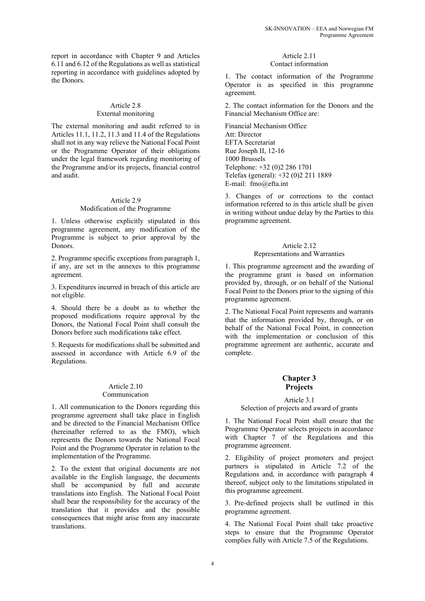report in accordance with Chapter 9 and Articles 6.11 and 6.12 of the Regulations as well as statistical reporting in accordance with guidelines adopted by the Donors.

#### Article 2.8 External monitoring

The external monitoring and audit referred to in Articles 11.1, 11.2, 11.3 and 11.4 of the Regulations shall not in any way relieve the National Focal Point or the Programme Operator of their obligations under the legal framework regarding monitoring of the Programme and/or its projects, financial control and audit.

#### Article 2.9 Modification of the Programme

1. Unless otherwise explicitly stipulated in this programme agreement, any modification of the Programme is subject to prior approval by the Donors.

2. Programme specific exceptions from paragraph 1, if any, are set in the annexes to this programme agreement.

3. Expenditures incurred in breach of this article are not eligible.

4. Should there be a doubt as to whether the proposed modifications require approval by the Donors, the National Focal Point shall consult the Donors before such modifications take effect.

5. Requests for modifications shall be submitted and assessed in accordance with Article 6.9 of the Regulations.

#### Article 2.10 Communication

1. All communication to the Donors regarding this programme agreement shall take place in English and be directed to the Financial Mechanism Office (hereinafter referred to as the FMO), which represents the Donors towards the National Focal Point and the Programme Operator in relation to the implementation of the Programme.

2. To the extent that original documents are not available in the English language, the documents shall be accompanied by full and accurate translations into English. The National Focal Point shall bear the responsibility for the accuracy of the translation that it provides and the possible consequences that might arise from any inaccurate translations.

# Article 2.11

# Contact information

1. The contact information of the Programme Operator is as specified in this programme agreement.

2. The contact information for the Donors and the Financial Mechanism Office are:

Financial Mechanism Office Att: Director EFTA Secretariat Rue Joseph II, 12-16 1000 Brussels Telephone: +32 (0)2 286 1701 Telefax (general): +32 (0)2 211 1889 E-mail: fmo@efta.int

3. Changes of or corrections to the contact information referred to in this article shall be given in writing without undue delay by the Parties to this programme agreement.

# Article 2.12

# Representations and Warranties

1. This programme agreement and the awarding of the programme grant is based on information provided by, through, or on behalf of the National Focal Point to the Donors prior to the signing of this programme agreement.

2. The National Focal Point represents and warrants that the information provided by, through, or on behalf of the National Focal Point, in connection with the implementation or conclusion of this programme agreement are authentic, accurate and complete.

# **Chapter 3 Projects**

#### Article 3.1

#### Selection of projects and award of grants

1. The National Focal Point shall ensure that the Programme Operator selects projects in accordance with Chapter 7 of the Regulations and this programme agreement.

2. Eligibility of project promoters and project partners is stipulated in Article 7.2 of the Regulations and, in accordance with paragraph 4 thereof, subject only to the limitations stipulated in this programme agreement.

3. Pre-defined projects shall be outlined in this programme agreement.

4. The National Focal Point shall take proactive steps to ensure that the Programme Operator complies fully with Article 7.5 of the Regulations.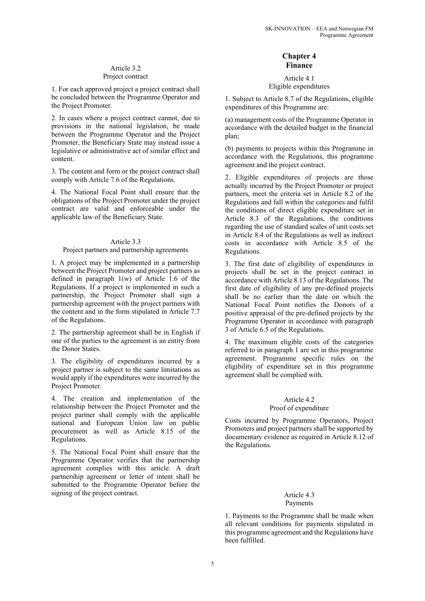# Article 3.2

# Project contract

1. For each approved project a project contract shall be concluded between the Programme Operator and the Project Promoter.

2. In cases where a project contract cannot, due to provisions in the national legislation, be made between the Programme Operator and the Project Promoter, the Beneficiary State may instead issue a legislative or administrative act of similar effect and content.

3. The content and form or the project contract shall comply with Article 7.6 of the Regulations.

4. The National Focal Point shall ensure that the obligations of the Project Promoter under the project contract are valid and enforceable under the applicable law of the Beneficiary State.

## Article 3.3

#### Project partners and partnership agreements

1. A project may be implemented in a partnership between the Project Promoter and project partners as defined in paragraph 1(w) of Article 1.6 of the Regulations. If a project is implemented in such a partnership, the Project Promoter shall sign a partnership agreement with the project partners with the content and in the form stipulated in Article 7.7 of the Regulations.

2. The partnership agreement shall be in English if one of the parties to the agreement is an entity from the Donor States.

3. The eligibility of expenditures incurred by a project partner is subject to the same limitations as would apply if the expenditures were incurred by the Project Promoter.

4. The creation and implementation of the relationship between the Project Promoter and the project partner shall comply with the applicable national and European Union law on public procurement as well as Article 8.15 of the Regulations.

5. The National Focal Point shall ensure that the Programme Operator verifies that the partnership agreement complies with this article. A draft partnership agreement or letter of intent shall be submitted to the Programme Operator before the signing of the project contract.

# **Chapter 4 Finance**

Article 4.1 Eligible expenditures

1. Subject to Article 8.7 of the Regulations, eligible expenditures of this Programme are:

(a) management costs of the Programme Operator in accordance with the detailed budget in the financial plan;

(b) payments to projects within this Programme in accordance with the Regulations, this programme agreement and the project contract.

2. Eligible expenditures of projects are those actually incurred by the Project Promoter or project partners, meet the criteria set in Article 8.2 of the Regulations and fall within the categories and fulfil the conditions of direct eligible expenditure set in Article 8.3 of the Regulations, the conditions regarding the use of standard scales of unit costs set in Article 8.4 of the Regulations as well as indirect costs in accordance with Article 8.5 of the Regulations.

3. The first date of eligibility of expenditures in projects shall be set in the project contract in accordance with Article 8.13 of the Regulations. The first date of eligibility of any pre-defined projects shall be no earlier than the date on which the National Focal Point notifies the Donors of a positive appraisal of the pre-defined projects by the Programme Operator in accordance with paragraph 3 of Article 6.5 of the Regulations.

4. The maximum eligible costs of the categories referred to in paragraph 1 are set in this programme agreement. Programme specific rules on the eligibility of expenditure set in this programme agreement shall be complied with.

# Article 4.2

#### Proof of expenditure

Costs incurred by Programme Operators, Project Promoters and project partners shall be supported by documentary evidence as required in Article 8.12 of the Regulations.

# Article 4.3

# Payments

1. Payments to the Programme shall be made when all relevant conditions for payments stipulated in this programme agreement and the Regulations have been fulfilled.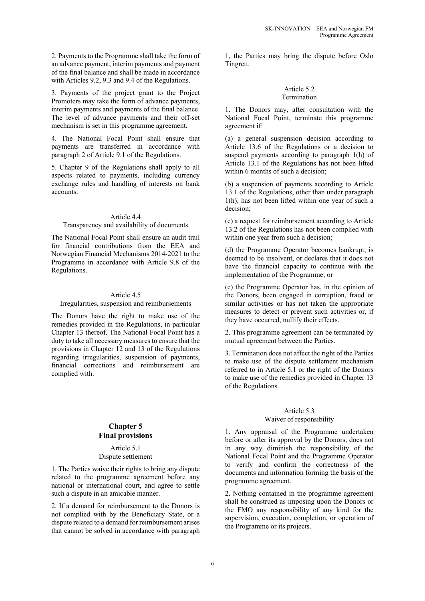2. Payments to the Programme shall take the form of an advance payment, interim payments and payment of the final balance and shall be made in accordance with Articles 9.2, 9.3 and 9.4 of the Regulations.

3. Payments of the project grant to the Project Promoters may take the form of advance payments, interim payments and payments of the final balance. The level of advance payments and their off-set mechanism is set in this programme agreement.

4. The National Focal Point shall ensure that payments are transferred in accordance with paragraph 2 of Article 9.1 of the Regulations.

5. Chapter 9 of the Regulations shall apply to all aspects related to payments, including currency exchange rules and handling of interests on bank accounts.

#### Article 4.4

#### Transparency and availability of documents

The National Focal Point shall ensure an audit trail for financial contributions from the EEA and Norwegian Financial Mechanisms 2014-2021 to the Programme in accordance with Article 9.8 of the Regulations.

#### Article 4.5

# Irregularities, suspension and reimbursements

The Donors have the right to make use of the remedies provided in the Regulations, in particular Chapter 13 thereof. The National Focal Point has a duty to take all necessary measures to ensure that the provisions in Chapter 12 and 13 of the Regulations regarding irregularities, suspension of payments, financial corrections and reimbursement are complied with.

## **Chapter 5 Final provisions**

#### Article 5.1 Dispute settlement

1. The Parties waive their rights to bring any dispute related to the programme agreement before any national or international court, and agree to settle such a dispute in an amicable manner.

2. If a demand for reimbursement to the Donors is not complied with by the Beneficiary State, or a dispute related to a demand for reimbursement arises that cannot be solved in accordance with paragraph

1, the Parties may bring the dispute before Oslo Tingrett.

#### Article 5.2 Termination

1. The Donors may, after consultation with the National Focal Point, terminate this programme agreement if:

(a) a general suspension decision according to Article 13.6 of the Regulations or a decision to suspend payments according to paragraph 1(h) of Article 13.1 of the Regulations has not been lifted within 6 months of such a decision;

(b) a suspension of payments according to Article 13.1 of the Regulations, other than under paragraph 1(h), has not been lifted within one year of such a decision;

(c) a request for reimbursement according to Article 13.2 of the Regulations has not been complied with within one year from such a decision;

(d) the Programme Operator becomes bankrupt, is deemed to be insolvent, or declares that it does not have the financial capacity to continue with the implementation of the Programme; or

(e) the Programme Operator has, in the opinion of the Donors, been engaged in corruption, fraud or similar activities or has not taken the appropriate measures to detect or prevent such activities or, if they have occurred, nullify their effects.

2. This programme agreement can be terminated by mutual agreement between the Parties.

3. Termination does not affect the right of the Parties to make use of the dispute settlement mechanism referred to in Article 5.1 or the right of the Donors to make use of the remedies provided in Chapter 13 of the Regulations.

#### Article 5.3

#### Waiver of responsibility

1. Any appraisal of the Programme undertaken before or after its approval by the Donors, does not in any way diminish the responsibility of the National Focal Point and the Programme Operator to verify and confirm the correctness of the documents and information forming the basis of the programme agreement.

2. Nothing contained in the programme agreement shall be construed as imposing upon the Donors or the FMO any responsibility of any kind for the supervision, execution, completion, or operation of the Programme or its projects.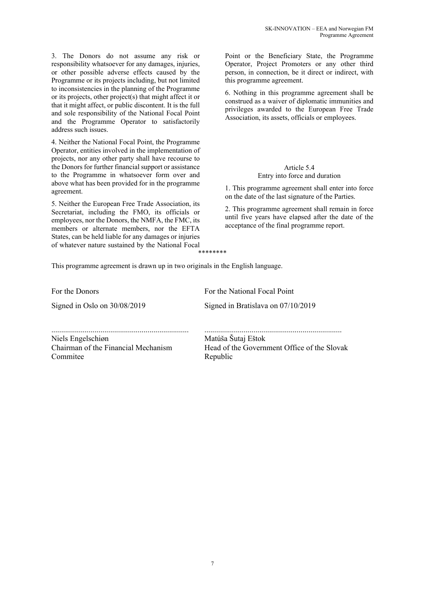3. The Donors do not assume any risk or responsibility whatsoever for any damages, injuries, or other possible adverse effects caused by the Programme or its projects including, but not limited to inconsistencies in the planning of the Programme or its projects, other project(s) that might affect it or that it might affect, or public discontent. It is the full and sole responsibility of the National Focal Point and the Programme Operator to satisfactorily address such issues.

4. Neither the National Focal Point, the Programme Operator, entities involved in the implementation of projects, nor any other party shall have recourse to the Donors for further financial support or assistance to the Programme in whatsoever form over and above what has been provided for in the programme agreement.

5. Neither the European Free Trade Association, its Secretariat, including the FMO, its officials or employees, nor the Donors, the NMFA, the FMC, its members or alternate members, nor the EFTA States, can be held liable for any damages or injuries of whatever nature sustained by the National Focal

Point or the Beneficiary State, the Programme Operator, Project Promoters or any other third person, in connection, be it direct or indirect, with this programme agreement.

6. Nothing in this programme agreement shall be construed as a waiver of diplomatic immunities and privileges awarded to the European Free Trade Association, its assets, officials or employees.

# Article 5.4

Entry into force and duration

1. This programme agreement shall enter into force on the date of the last signature of the Parties.

2. This programme agreement shall remain in force until five years have elapsed after the date of the acceptance of the final programme report.

This programme agreement is drawn up in two originals in the English language.

For the Donors **For the National Focal Point** 

\*\*\*\*\*\*\*\*

Signed in Oslo on 30/08/2019 Signed in Bratislava on 07/10/2019

Niels Engelschiøn Matúša Šutaj Eštok

Chairman of the Financial Mechanism Commitee

...................................................................... ......................................................................

Head of the Government Office of the Slovak Republic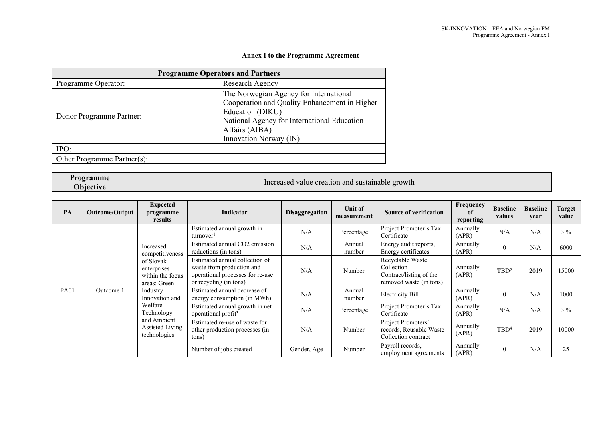# **Annex I to the Programme Agreement**

| <b>Programme Operators and Partners</b> |                                               |  |  |  |  |  |  |
|-----------------------------------------|-----------------------------------------------|--|--|--|--|--|--|
| Programme Operator:                     | Research Agency                               |  |  |  |  |  |  |
|                                         | The Norwegian Agency for International        |  |  |  |  |  |  |
|                                         | Cooperation and Quality Enhancement in Higher |  |  |  |  |  |  |
|                                         | Education (DIKU)                              |  |  |  |  |  |  |
| Donor Programme Partner:                | National Agency for International Education   |  |  |  |  |  |  |
|                                         | Affairs (AIBA)                                |  |  |  |  |  |  |
|                                         | Innovation Norway (IN)                        |  |  |  |  |  |  |
| IPO:                                    |                                               |  |  |  |  |  |  |
| Other Programme Partner(s):             |                                               |  |  |  |  |  |  |

# **Programme**

Increased value creation and sustainable growth

| PA          | Outcome/Output | <b>Expected</b><br>programme<br>results                      | Indicator                                                                                                                 | <b>Disaggregation</b> | Unit of<br>measurement | <b>Source of verification</b>                                                        | Frequency<br>of<br>reporting | <b>Baseline</b><br>values | <b>Baseline</b><br>year | Target<br>value |
|-------------|----------------|--------------------------------------------------------------|---------------------------------------------------------------------------------------------------------------------------|-----------------------|------------------------|--------------------------------------------------------------------------------------|------------------------------|---------------------------|-------------------------|-----------------|
|             |                |                                                              | Estimated annual growth in<br>turnover <sup>1</sup>                                                                       | N/A                   | Percentage             | Project Promoter's Tax<br>Certificate                                                | Annually<br>(APR)            | N/A                       | N/A                     | $3\%$           |
|             | Increased      | competitiveness                                              | Estimated annual CO2 emission<br>reductions (in tons)                                                                     | N/A                   | Annual<br>number       | Energy audit reports,<br>Energy certificates                                         | Annually<br>(APR)            |                           | N/A                     | 6000            |
|             |                | of Slovak<br>enterprises<br>within the focus<br>areas: Green | Estimated annual collection of<br>waste from production and<br>operational processes for re-use<br>or recycling (in tons) | N/A                   | Number                 | Recyclable Waste<br>Collection<br>Contract/listing of the<br>removed waste (in tons) | Annually<br>(APR)            | TBD <sup>2</sup>          | 2019                    | 15000           |
| <b>PA01</b> | Outcome 1      | Industry<br>Innovation and                                   | Estimated annual decrease of<br>energy consumption (in MWh)                                                               | N/A                   | Annual<br>number       | <b>Electricity Bill</b>                                                              | Annually<br>(APR)            |                           | N/A                     | 1000            |
|             |                | Welfare<br>Technology                                        | Estimated annual growth in net<br>operational profit <sup>3</sup>                                                         | N/A                   | Percentage             | Project Promoter's Tax<br>Certificate                                                | Annually<br>(APR)            | N/A                       | N/A                     | $3\%$           |
|             |                | and Ambient<br>Assisted Living<br>technologies               | Estimated re-use of waste for<br>other production processes (in<br>tons)                                                  | N/A                   | Number                 | Project Promoters'<br>records, Reusable Waste<br>Collection contract                 | Annually<br>(APR)            | TBD <sup>4</sup>          | 2019                    | 10000           |
|             |                |                                                              | Number of jobs created                                                                                                    | Gender, Age           | Number                 | Payroll records,<br>employment agreements                                            | Annually<br>(APR)            | $\theta$                  | N/A                     | 25              |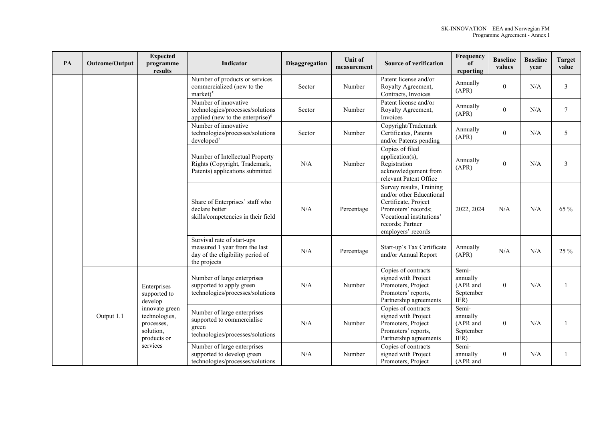| PA | Outcome/Output                                                                          | <b>Expected</b><br>programme<br>results                                                                | Indicator                                                                                                       | Disaggregation | Unit of<br>measurement                                                                                            | <b>Source of verification</b>                                                                                                                                             | Frequency<br>оf<br>reporting                       | <b>Baseline</b><br>values | <b>Baseline</b><br>year | <b>Target</b><br>value |
|----|-----------------------------------------------------------------------------------------|--------------------------------------------------------------------------------------------------------|-----------------------------------------------------------------------------------------------------------------|----------------|-------------------------------------------------------------------------------------------------------------------|---------------------------------------------------------------------------------------------------------------------------------------------------------------------------|----------------------------------------------------|---------------------------|-------------------------|------------------------|
|    |                                                                                         |                                                                                                        | Number of products or services<br>commercialized (new to the<br>$market)^5$                                     | Sector         | Number                                                                                                            | Patent license and/or<br>Royalty Agreement,<br>Contracts, Invoices                                                                                                        | Annually<br>(APR)                                  | $\overline{0}$            | N/A                     | $\overline{3}$         |
|    |                                                                                         |                                                                                                        | Number of innovative<br>technologies/processes/solutions<br>applied (new to the enterprise) $6$                 | Sector         | Number                                                                                                            | Patent license and/or<br>Royalty Agreement,<br>Invoices                                                                                                                   | Annually<br>(APR)                                  | $\theta$                  | N/A                     | $\boldsymbol{7}$       |
|    |                                                                                         |                                                                                                        | Number of innovative<br>technologies/processes/solutions<br>developed <sup>7</sup>                              | Sector         | Number                                                                                                            | Copyright/Trademark<br>Certificates, Patents<br>and/or Patents pending                                                                                                    | Annually<br>(APR)                                  | $\theta$                  | N/A                     | 5                      |
|    |                                                                                         |                                                                                                        | Number of Intellectual Property<br>Rights (Copyright, Trademark,<br>Patents) applications submitted             | N/A            | Number                                                                                                            | Copies of filed<br>application(s),<br>Registration<br>acknowledgement from<br>relevant Patent Office                                                                      | Annually<br>(APR)                                  | $\theta$                  | N/A                     | 3                      |
|    |                                                                                         |                                                                                                        | Share of Enterprises' staff who<br>declare better<br>skills/competencies in their field                         | N/A            | Percentage                                                                                                        | Survey results, Training<br>and/or other Educational<br>Certificate, Project<br>Promoters' records;<br>Vocational institutions'<br>records; Partner<br>employers' records | 2022, 2024                                         | N/A                       | N/A                     | 65 %                   |
|    |                                                                                         |                                                                                                        | Survival rate of start-ups<br>measured 1 year from the last<br>day of the eligibility period of<br>the projects | N/A            | Percentage                                                                                                        | Start-up's Tax Certificate<br>and/or Annual Report                                                                                                                        | Annually<br>(APR)                                  | N/A                       | N/A                     | 25 %                   |
|    |                                                                                         | Enterprises<br>supported to<br>develop                                                                 | Number of large enterprises<br>supported to apply green<br>technologies/processes/solutions                     | N/A            | Number                                                                                                            | Copies of contracts<br>signed with Project<br>Promoters, Project<br>Promoters' reports,<br>Partnership agreements                                                         | Semi-<br>annually<br>(APR and<br>September<br>IFR) | $\overline{0}$            | N/A                     | 1                      |
|    | innovate green<br>technologies,<br>Output 1.1<br>processes,<br>solution,<br>products or | Number of large enterprises<br>supported to commercialise<br>green<br>technologies/processes/solutions | N/A                                                                                                             | Number         | Copies of contracts<br>signed with Project<br>Promoters, Project<br>Promoters' reports,<br>Partnership agreements | Semi-<br>annually<br>(APR and<br>September<br>IFR)                                                                                                                        | $\overline{0}$                                     | N/A                       | $\mathbf{1}$            |                        |
|    |                                                                                         | services                                                                                               | Number of large enterprises<br>supported to develop green<br>technologies/processes/solutions                   | N/A            | Number                                                                                                            | Copies of contracts<br>signed with Project<br>Promoters, Project                                                                                                          | Semi-<br>annually<br>(APR and                      | $\overline{0}$            | N/A                     | $\mathbf{1}$           |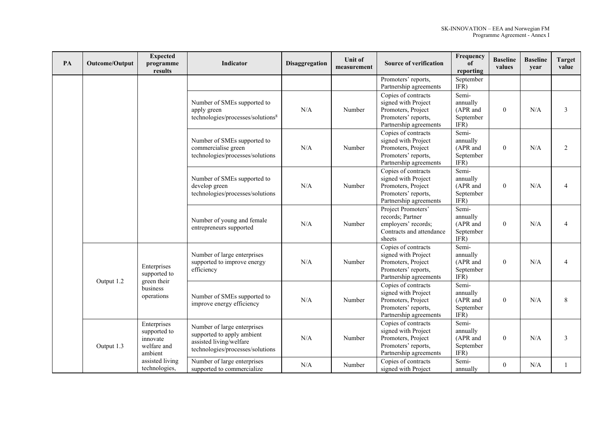| PA | Outcome/Output                                      | <b>Expected</b><br>programme<br>results                           | Indicator                                                                                                                | Disaggregation | Unit of<br>measurement | <b>Source of verification</b>                                                                                     | Frequency<br>of<br>reporting                       | <b>Baseline</b><br>values | <b>Baseline</b><br>year | <b>Target</b><br>value |
|----|-----------------------------------------------------|-------------------------------------------------------------------|--------------------------------------------------------------------------------------------------------------------------|----------------|------------------------|-------------------------------------------------------------------------------------------------------------------|----------------------------------------------------|---------------------------|-------------------------|------------------------|
|    |                                                     |                                                                   |                                                                                                                          |                |                        | Promoters' reports,<br>Partnership agreements                                                                     | September<br>IFR)                                  |                           |                         |                        |
|    |                                                     |                                                                   | Number of SMEs supported to<br>apply green<br>technologies/processes/solutions <sup>8</sup>                              | N/A            | Number                 | Copies of contracts<br>signed with Project<br>Promoters, Project<br>Promoters' reports,<br>Partnership agreements | Semi-<br>annually<br>(APR and<br>September<br>IFR) | $\theta$                  | N/A                     | 3                      |
|    |                                                     |                                                                   | Number of SMEs supported to<br>commercialise green<br>technologies/processes/solutions                                   | N/A            | Number                 | Copies of contracts<br>signed with Project<br>Promoters, Project<br>Promoters' reports,<br>Partnership agreements | Semi-<br>annually<br>(APR and<br>September<br>IFR) | $\mathbf{0}$              | N/A                     | 2                      |
|    |                                                     |                                                                   | Number of SMEs supported to<br>develop green<br>technologies/processes/solutions                                         | N/A            | Number                 | Copies of contracts<br>signed with Project<br>Promoters, Project<br>Promoters' reports,<br>Partnership agreements | Semi-<br>annually<br>(APR and<br>September<br>IFR) | $\mathbf{0}$              | N/A                     | $\overline{4}$         |
|    |                                                     |                                                                   | Number of young and female<br>entrepreneurs supported                                                                    | N/A            | Number                 | Project Promoters'<br>records; Partner<br>employers' records;<br>Contracts and attendance<br>sheets               | Semi-<br>annually<br>(APR and<br>September<br>IFR) | $\theta$                  | N/A                     | 4                      |
|    |                                                     | Enterprises<br>supported to                                       | Number of large enterprises<br>supported to improve energy<br>efficiency                                                 | N/A            | Number                 | Copies of contracts<br>signed with Project<br>Promoters, Project<br>Promoters' reports,<br>Partnership agreements | Semi-<br>annually<br>(APR and<br>September<br>IFR) | $\overline{0}$            | N/A                     | 4                      |
|    | green their<br>Output 1.2<br>business<br>operations |                                                                   | Number of SMEs supported to<br>improve energy efficiency                                                                 | N/A            | Number                 | Copies of contracts<br>signed with Project<br>Promoters, Project<br>Promoters' reports,<br>Partnership agreements | Semi-<br>annually<br>(APR and<br>September<br>IFR) | $\mathbf{0}$              | N/A                     | 8                      |
|    | Output 1.3                                          | Enterprises<br>supported to<br>innovate<br>welfare and<br>ambient | Number of large enterprises<br>supported to apply ambient<br>assisted living/welfare<br>technologies/processes/solutions | N/A            | Number                 | Copies of contracts<br>signed with Project<br>Promoters, Project<br>Promoters' reports,<br>Partnership agreements | Semi-<br>annually<br>(APR and<br>September<br>IFR) | $\overline{0}$            | N/A                     | 3                      |
|    |                                                     | assisted living<br>technologies,                                  | Number of large enterprises<br>supported to commercialize                                                                | N/A            | Number                 | Copies of contracts<br>signed with Project                                                                        | Semi-<br>annually                                  | $\overline{0}$            | N/A                     |                        |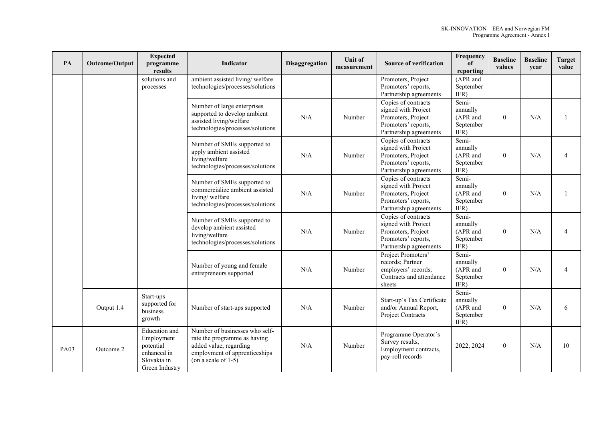| PA          | Outcome/Output | <b>Expected</b><br>programme<br>results                                                  | Indicator                                                                                                                                           | Disaggregation | Unit of<br>measurement | <b>Source of verification</b>                                                                                     | Frequency<br>of<br>reporting                       | <b>Baseline</b><br>values | <b>Baseline</b><br>year | <b>Target</b><br>value |
|-------------|----------------|------------------------------------------------------------------------------------------|-----------------------------------------------------------------------------------------------------------------------------------------------------|----------------|------------------------|-------------------------------------------------------------------------------------------------------------------|----------------------------------------------------|---------------------------|-------------------------|------------------------|
|             |                | solutions and<br>processes                                                               | ambient assisted living/welfare<br>technologies/processes/solutions                                                                                 |                |                        | Promoters, Project<br>Promoters' reports,<br>Partnership agreements                                               | (APR and<br>September<br>IFR)                      |                           |                         |                        |
|             |                |                                                                                          | Number of large enterprises<br>supported to develop ambient<br>assisted living/welfare<br>technologies/processes/solutions                          | N/A            | Number                 | Copies of contracts<br>signed with Project<br>Promoters, Project<br>Promoters' reports,<br>Partnership agreements | Semi-<br>annually<br>(APR and<br>September<br>IFR) | $\theta$                  | N/A                     | -1                     |
|             |                |                                                                                          | Number of SMEs supported to<br>apply ambient assisted<br>living/welfare<br>technologies/processes/solutions                                         | N/A            | Number                 | Copies of contracts<br>signed with Project<br>Promoters, Project<br>Promoters' reports,<br>Partnership agreements | Semi-<br>annually<br>(APR and<br>September<br>IFR) | $\theta$                  | N/A                     | $\overline{4}$         |
|             |                |                                                                                          | Number of SMEs supported to<br>commercialize ambient assisted<br>living/welfare<br>technologies/processes/solutions                                 | N/A            | Number                 | Copies of contracts<br>signed with Project<br>Promoters, Project<br>Promoters' reports,<br>Partnership agreements | Semi-<br>annually<br>(APR and<br>September<br>IFR) | $\theta$                  | N/A                     | $\mathbf{1}$           |
|             |                |                                                                                          | Number of SMEs supported to<br>develop ambient assisted<br>living/welfare<br>technologies/processes/solutions                                       | N/A            | Number                 | Copies of contracts<br>signed with Project<br>Promoters, Project<br>Promoters' reports,<br>Partnership agreements | Semi-<br>annually<br>(APR and<br>September<br>IFR) | $\overline{0}$            | N/A                     | $\overline{4}$         |
|             |                |                                                                                          | Number of young and female<br>entrepreneurs supported                                                                                               | N/A            | Number                 | Project Promoters'<br>records; Partner<br>employers' records;<br>Contracts and attendance<br>sheets               | Semi-<br>annually<br>(APR and<br>September<br>IFR) | $\overline{0}$            | N/A                     | $\overline{4}$         |
|             | Output 1.4     | Start-ups<br>supported for<br>business<br>growth                                         | Number of start-ups supported                                                                                                                       | N/A            | Number                 | Start-up's Tax Certificate<br>and/or Annual Report,<br>Project Contracts                                          | Semi-<br>annually<br>(APR and<br>September<br>IFR) | $\overline{0}$            | N/A                     | 6                      |
| <b>PA03</b> | Outcome 2      | Education and<br>Employment<br>potential<br>enhanced in<br>Slovakia in<br>Green Industry | Number of businesses who self-<br>rate the programme as having<br>added value, regarding<br>employment of apprenticeships<br>(on a scale of $1-5$ ) | N/A            | Number                 | Programme Operator's<br>Survey results,<br>Employment contracts,<br>pay-roll records                              | 2022, 2024                                         | $\overline{0}$            | N/A                     | 10                     |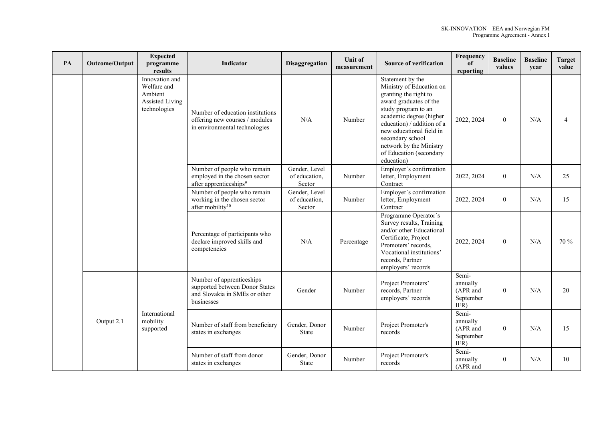| PA | Outcome/Output | <b>Expected</b><br>programme<br>results                                     | <b>Indicator</b>                                                                                           | Disaggregation                           | <b>Unit of</b><br>measurement | <b>Source of verification</b>                                                                                                                                                                                                                                                                       | Frequency<br>of<br>reporting                       | <b>Baseline</b><br>values | <b>Baseline</b><br>year | <b>Target</b><br>value |
|----|----------------|-----------------------------------------------------------------------------|------------------------------------------------------------------------------------------------------------|------------------------------------------|-------------------------------|-----------------------------------------------------------------------------------------------------------------------------------------------------------------------------------------------------------------------------------------------------------------------------------------------------|----------------------------------------------------|---------------------------|-------------------------|------------------------|
|    |                | Innovation and<br>Welfare and<br>Ambient<br>Assisted Living<br>technologies | Number of education institutions<br>offering new courses / modules<br>in environmental technologies        | N/A                                      | Number                        | Statement by the<br>Ministry of Education on<br>granting the right to<br>award graduates of the<br>study program to an<br>academic degree (higher<br>education) / addition of a<br>new educational field in<br>secondary school<br>network by the Ministry<br>of Education (secondary<br>education) | 2022, 2024                                         | $\theta$                  | N/A                     | 4                      |
|    |                |                                                                             | Number of people who remain<br>employed in the chosen sector<br>after apprenticeships <sup>9</sup>         | Gender, Level<br>of education,<br>Sector | Number                        | Employer's confirmation<br>letter, Employment<br>Contract                                                                                                                                                                                                                                           | 2022, 2024                                         | $\overline{0}$            | N/A                     | 25                     |
|    |                |                                                                             | Number of people who remain<br>working in the chosen sector<br>after mobility <sup>10</sup>                | Gender, Level<br>of education,<br>Sector | Number                        | Employer's confirmation<br>letter, Employment<br>Contract                                                                                                                                                                                                                                           | 2022, 2024                                         | $\overline{0}$            | N/A                     | 15                     |
|    |                |                                                                             | Percentage of participants who<br>declare improved skills and<br>competencies                              | N/A                                      | Percentage                    | Programme Operator's<br>Survey results, Training<br>and/or other Educational<br>Certificate, Project<br>Promoters' records,<br>Vocational institutions'<br>records, Partner<br>employers' records                                                                                                   | 2022, 2024                                         | $\mathbf{0}$              | N/A                     | 70 %                   |
|    |                |                                                                             | Number of apprenticeships<br>supported between Donor States<br>and Slovakia in SMEs or other<br>businesses | Gender                                   | Number                        | Project Promoters'<br>records, Partner<br>employers' records                                                                                                                                                                                                                                        | Semi-<br>annually<br>(APR and<br>September<br>IFR) | $\theta$                  | N/A                     | 20                     |
|    | Output 2.1     | International<br>mobility<br>supported                                      | Number of staff from beneficiary<br>states in exchanges                                                    | Gender, Donor<br>State                   | Number                        | Project Promoter's<br>records                                                                                                                                                                                                                                                                       | Semi-<br>annually<br>(APR and<br>September<br>IFR) | $\mathbf{0}$              | N/A                     | 15                     |
|    |                |                                                                             | Number of staff from donor<br>states in exchanges                                                          | Gender, Donor<br>State                   | Number                        | Project Promoter's<br>records                                                                                                                                                                                                                                                                       | Semi-<br>annually<br>(APR and                      | $\overline{0}$            | N/A                     | 10                     |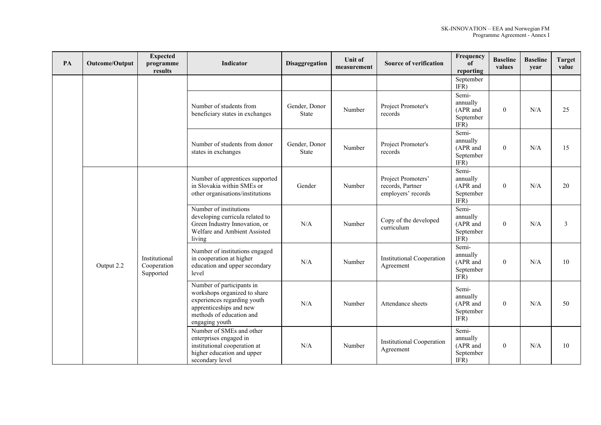| PA | Outcome/Output | <b>Expected</b><br>programme<br>results   | Indicator                                                                                                                                                         | <b>Disaggregation</b>  | Unit of<br>measurement | <b>Source of verification</b>                                | Frequency<br>of<br>reporting                       | <b>Baseline</b><br>values | <b>Baseline</b><br>year | <b>Target</b><br>value |
|----|----------------|-------------------------------------------|-------------------------------------------------------------------------------------------------------------------------------------------------------------------|------------------------|------------------------|--------------------------------------------------------------|----------------------------------------------------|---------------------------|-------------------------|------------------------|
|    |                |                                           |                                                                                                                                                                   |                        |                        |                                                              | September<br>IFR)                                  |                           |                         |                        |
|    |                |                                           | Number of students from<br>beneficiary states in exchanges                                                                                                        | Gender, Donor<br>State | Number                 | Project Promoter's<br>records                                | Semi-<br>annually<br>(APR and<br>September<br>IFR) | $\theta$                  | N/A                     | 25                     |
|    |                |                                           | Number of students from donor<br>states in exchanges                                                                                                              | Gender, Donor<br>State | Number                 | Project Promoter's<br>records                                | Semi-<br>annually<br>(APR and<br>September<br>IFR) | $\theta$                  | N/A                     | 15                     |
|    |                |                                           | Number of apprentices supported<br>in Slovakia within SMEs or<br>other organisations/institutions                                                                 | Gender                 | Number                 | Project Promoters'<br>records, Partner<br>employers' records | Semi-<br>annually<br>(APR and<br>September<br>IFR) | $\theta$                  | N/A                     | 20                     |
|    |                |                                           | Number of institutions<br>developing curricula related to<br>Green Industry Innovation, or<br>Welfare and Ambient Assisted<br>living                              | N/A                    | Number                 | Copy of the developed<br>curriculum                          | Semi-<br>annually<br>(APR and<br>September<br>IFR) | $\Omega$                  | N/A                     | 3                      |
|    | Output 2.2     | Institutional<br>Cooperation<br>Supported | Number of institutions engaged<br>in cooperation at higher<br>education and upper secondary<br>level                                                              | N/A                    | Number                 | <b>Institutional Cooperation</b><br>Agreement                | Semi-<br>annually<br>(APR and<br>September<br>IFR) | $\theta$                  | N/A                     | 10                     |
|    |                |                                           | Number of participants in<br>workshops organized to share<br>experiences regarding youth<br>apprenticeships and new<br>methods of education and<br>engaging youth | N/A                    | Number                 | Attendance sheets                                            | Semi-<br>annually<br>(APR and<br>September<br>IFR) | $\theta$                  | N/A                     | 50                     |
|    |                |                                           | Number of SMEs and other<br>enterprises engaged in<br>institutional cooperation at<br>higher education and upper<br>secondary level                               | N/A                    | Number                 | <b>Institutional Cooperation</b><br>Agreement                | Semi-<br>annually<br>(APR and<br>September<br>IFR) | $\theta$                  | N/A                     | 10                     |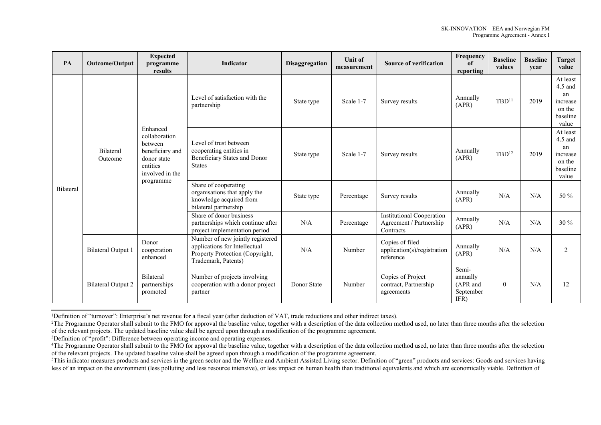| PA               | Outcome/Output                                          | <b>Expected</b><br>programme<br>results                                         | Indicator                                                                                                                   | Disaggregation | <b>Unit of</b><br>measurement | <b>Source of verification</b>                                            | Frequency<br>of<br>reporting                       | <b>Baseline</b><br>values | <b>Baseline</b><br>year | Target<br>value                                                        |
|------------------|---------------------------------------------------------|---------------------------------------------------------------------------------|-----------------------------------------------------------------------------------------------------------------------------|----------------|-------------------------------|--------------------------------------------------------------------------|----------------------------------------------------|---------------------------|-------------------------|------------------------------------------------------------------------|
|                  |                                                         |                                                                                 | Level of satisfaction with the<br>partnership                                                                               | State type     | Scale 1-7                     | Survey results                                                           | Annually<br>(APR)                                  | TBD <sup>11</sup>         | 2019                    | At least<br>$4.5$ and<br>an<br>increase<br>on the<br>baseline<br>value |
|                  | Enhanced<br>between<br>Bilateral<br>Outcome<br>entities | collaboration<br>beneficiary and<br>donor state<br>involved in the<br>programme | Level of trust between<br>cooperating entities in<br>Beneficiary States and Donor<br><b>States</b>                          | State type     | Scale 1-7                     | Survey results                                                           | Annually<br>(APR)                                  | $TBD^{12}$                | 2019                    | At least<br>$4.5$ and<br>an<br>increase<br>on the<br>baseline<br>value |
| <b>Bilateral</b> |                                                         |                                                                                 | Share of cooperating<br>organisations that apply the<br>knowledge acquired from<br>bilateral partnership                    | State type     | Percentage                    | Survey results                                                           | Annually<br>(APR)                                  | N/A                       | N/A                     | $50\%$                                                                 |
|                  |                                                         |                                                                                 | Share of donor business<br>partnerships which continue after<br>project implementation period                               | N/A            | Percentage                    | <b>Institutional Cooperation</b><br>Agreement / Partnership<br>Contracts | Annually<br>(APR)                                  | N/A                       | N/A                     | $30\%$                                                                 |
|                  | <b>Bilateral Output 1</b>                               | Donor<br>cooperation<br>enhanced                                                | Number of new jointly registered<br>applications for Intellectual<br>Property Protection (Copyright,<br>Trademark, Patents) | N/A            | Number                        | Copies of filed<br>application(s)/registration<br>reference              | Annually<br>(APR)                                  | N/A                       | N/A                     | 2                                                                      |
|                  | <b>Bilateral Output 2</b>                               | Bilateral<br>partnerships<br>promoted                                           | Number of projects involving<br>cooperation with a donor project<br>partner                                                 | Donor State    | Number                        | Copies of Project<br>contract, Partnership<br>agreements                 | Semi-<br>annually<br>(APR and<br>September<br>IFR) | $\overline{0}$            | N/A                     | 12                                                                     |

<sup>1</sup>Definition of "turnover": Enterprise's net revenue for a fiscal year (after deduction of VAT, trade reductions and other indirect taxes).

<sup>&</sup>lt;sup>2</sup>The Programme Operator shall submit to the FMO for approval the baseline value, together with a description of the data collection method used, no later than three months after the selection of the relevant projects. The updated baseline value shall be agreed upon through a modification of the programme agreement.

<sup>&</sup>lt;sup>3</sup>Definition of "profit": Difference between operating income and operating expenses.

<sup>&</sup>lt;sup>4</sup>The Programme Operator shall submit to the FMO for approval the baseline value, together with a description of the data collection method used, no later than three months after the selection of the relevant projects. The updated baseline value shall be agreed upon through a modification of the programme agreement.

<sup>&</sup>lt;sup>5</sup>This indicator measures products and services in the green sector and the Welfare and Ambient Assisted Living sector. Definition of "green" products and services: Goods and services having less of an impact on the environment (less polluting and less resource intensive), or less impact on human health than traditional equivalents and which are economically viable. Definition of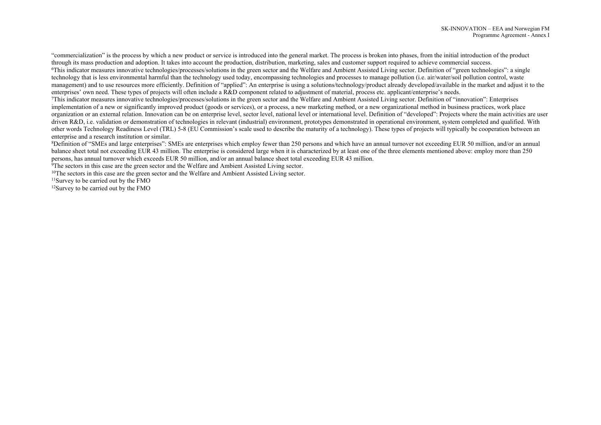"commercialization" is the process by which a new product or service is introduced into the general market. The process is broken into phases, from the initial introduction of the product through its mass production and adoption. It takes into account the production, distribution, marketing, sales and customer support required to achieve commercial success.

<sup>6</sup>This indicator measures innovative technologies/processes/solutions in the green sector and the Welfare and Ambient Assisted Living sector. Definition of "green technologies": a single technology that is less environmental harmful than the technology used today, encompassing technologies and processes to manage pollution (i.e. air/water/soil pollution control, waste management) and to use resources more efficiently. Definition of "applied": An enterprise is using a solutions/technology/product already developed/available in the market and adjust it to the enterprises' own need. These types of projects will often include a R&D component related to adjustment of material, process etc. applicant/enterprise's needs.

<sup>7</sup>This indicator measures innovative technologies/processes/solutions in the green sector and the Welfare and Ambient Assisted Living sector. Definition of "innovation": Enterprises implementation of a new or significantly improved product (goods or services), or a process, a new marketing method, or a new organizational method in business practices, work place organization or an external relation. Innovation can be on enterprise level, sector level, national level or international level. Definition of "developed": Projects where the main activities are user driven R&D, i.e. validation or demonstration of technologies in relevant (industrial) environment, prototypes demonstrated in operational environment, system completed and qualified. With other words Technology Readiness Level (TRL) 5-8 (EU Commission's scale used to describe the maturity of a technology). These types of projects will typically be cooperation between an enterprise and a research institution or similar.

<sup>8</sup>Definition of "SMEs and large enterprises": SMEs are enterprises which employ fewer than 250 persons and which have an annual turnover not exceeding EUR 50 million, and/or an annual balance sheet total not exceeding EUR 43 million. The enterprise is considered large when it is characterized by at least one of the three elements mentioned above: employ more than 250 persons, has annual turnover which exceeds EUR 50 million, and/or an annual balance sheet total exceeding EUR 43 million.

<sup>9</sup>The sectors in this case are the green sector and the Welfare and Ambient Assisted Living sector.

<sup>10</sup>The sectors in this case are the green sector and the Welfare and Ambient Assisted Living sector.

<sup>11</sup>Survey to be carried out by the FMO

12Survey to be carried out by the FMO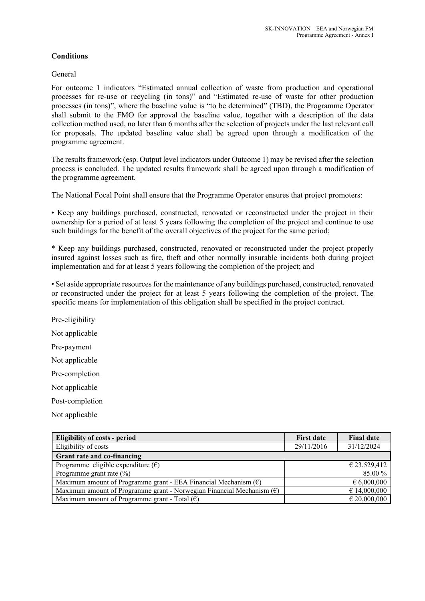# **Conditions**

General

For outcome 1 indicators "Estimated annual collection of waste from production and operational processes for re-use or recycling (in tons)" and "Estimated re-use of waste for other production processes (in tons)", where the baseline value is "to be determined" (TBD), the Programme Operator shall submit to the FMO for approval the baseline value, together with a description of the data collection method used, no later than 6 months after the selection of projects under the last relevant call for proposals. The updated baseline value shall be agreed upon through a modification of the programme agreement.

The results framework (esp. Output level indicators under Outcome 1) may be revised after the selection process is concluded. The updated results framework shall be agreed upon through a modification of the programme agreement.

The National Focal Point shall ensure that the Programme Operator ensures that project promoters:

• Keep any buildings purchased, constructed, renovated or reconstructed under the project in their ownership for a period of at least 5 years following the completion of the project and continue to use such buildings for the benefit of the overall objectives of the project for the same period;

\* Keep any buildings purchased, constructed, renovated or reconstructed under the project properly insured against losses such as fire, theft and other normally insurable incidents both during project implementation and for at least 5 years following the completion of the project; and

• Set aside appropriate resources for the maintenance of any buildings purchased, constructed, renovated or reconstructed under the project for at least 5 years following the completion of the project. The specific means for implementation of this obligation shall be specified in the project contract.

Pre-eligibility Not applicable Pre-payment Not applicable Pre-completion Not applicable Post-completion

Not applicable

| <b>Eligibility of costs - period</b>                                           | <b>First date</b> | <b>Final date</b>    |
|--------------------------------------------------------------------------------|-------------------|----------------------|
| Eligibility of costs                                                           | 29/11/2016        | 31/12/2024           |
| Grant rate and co-financing                                                    |                   |                      |
| Programme eligible expenditure $(\epsilon)$                                    |                   | € 23,529,412         |
| Programme grant rate $(\%)$                                                    |                   | 85.00%               |
| Maximum amount of Programme grant - EEA Financial Mechanism $(\epsilon)$       |                   | $\epsilon$ 6,000,000 |
| Maximum amount of Programme grant - Norwegian Financial Mechanism $(\epsilon)$ |                   | € 14,000,000         |
| Maximum amount of Programme grant - Total $(\epsilon)$                         |                   | $\in 20,000,000$     |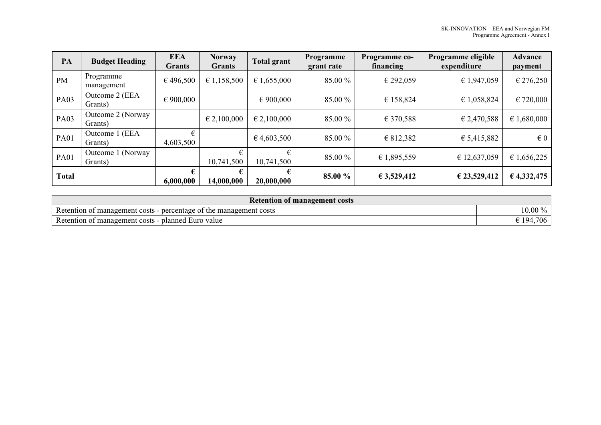| PA           | <b>Budget Heading</b>            | <b>EEA</b><br><b>Grants</b> | <b>Norway</b><br><b>Grants</b> | Total grant          | Programme<br>grant rate | Programme co-<br>financing | Programme eligible<br>expenditure | <b>Advance</b><br>payment |
|--------------|----------------------------------|-----------------------------|--------------------------------|----------------------|-------------------------|----------------------------|-----------------------------------|---------------------------|
| <b>PM</b>    | Programme<br>management          | €496,500                    | € 1,158,500                    | $\epsilon$ 1,655,000 | 85.00 %                 | € 292,059                  | € 1,947,059                       | € 276,250                 |
| <b>PA03</b>  | Outcome 2 (EEA<br>Grants)        | $\epsilon$ 900,000          |                                | $\epsilon$ 900,000   | 85.00 %                 | € 158,824                  | € 1,058,824                       | € 720,000                 |
| <b>PA03</b>  | Outcome 2 (Norway<br>Grants)     |                             | $\in 2,100,000$                | $\epsilon$ 2,100,000 | 85.00 %                 | € 370,588                  | € 2,470,588                       | € 1,680,000               |
| <b>PA01</b>  | (EEA<br>Outcome 1<br>Grants)     | €<br>4,603,500              |                                | 6,4,603,500          | 85.00 %                 | € 812,382                  | € 5,415,882                       | $\in 0$                   |
| <b>PA01</b>  | (Norway)<br>Outcome 1<br>Grants) |                             | €<br>10,741,500                | €<br>10,741,500      | 85.00 %                 | € 1,895,559                | € 12,637,059                      | € 1,656,225               |
| <b>Total</b> |                                  | 6,000,000                   | €<br>14,000,000                | 20,000,000           | 85.00 %                 | € 3,529,412                | € 23,529,412                      | € 4,332,475               |

| <b>Retention of management costs</b>                                                           |                        |  |  |  |  |
|------------------------------------------------------------------------------------------------|------------------------|--|--|--|--|
| $\mathbf{r}$<br>percentage of the.<br>Retention of<br>e management costs<br>t management costs | $10.00\,\%$            |  |  |  |  |
| $\mathbf{r}$<br>Retention of management costs<br>planned.<br>l Euro value                      | ,706<br>$\degree$ 194, |  |  |  |  |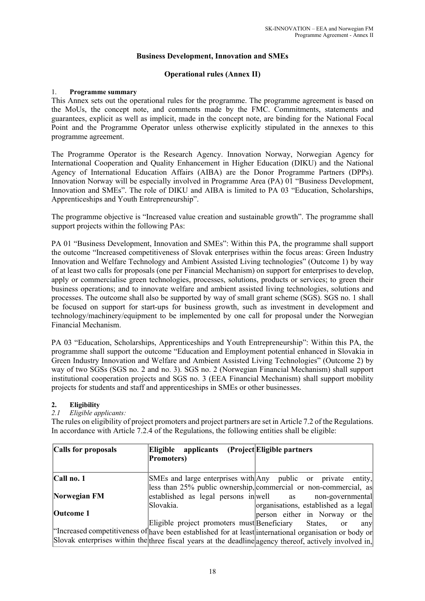# **Business Development, Innovation and SMEs**

# **Operational rules (Annex II)**

# 1. **Programme summary**

This Annex sets out the operational rules for the programme. The programme agreement is based on the MoUs, the concept note, and comments made by the FMC. Commitments, statements and guarantees, explicit as well as implicit, made in the concept note, are binding for the National Focal Point and the Programme Operator unless otherwise explicitly stipulated in the annexes to this programme agreement.

The Programme Operator is the Research Agency. Innovation Norway, Norwegian Agency for International Cooperation and Quality Enhancement in Higher Education (DIKU) and the National Agency of International Education Affairs (AIBA) are the Donor Programme Partners (DPPs). Innovation Norway will be especially involved in Programme Area (PA) 01 "Business Development, Innovation and SMEs". The role of DIKU and AIBA is limited to PA 03 "Education, Scholarships, Apprenticeships and Youth Entrepreneurship".

The programme objective is "Increased value creation and sustainable growth". The programme shall support projects within the following PAs:

PA 01 "Business Development, Innovation and SMEs": Within this PA, the programme shall support the outcome "Increased competitiveness of Slovak enterprises within the focus areas: Green Industry Innovation and Welfare Technology and Ambient Assisted Living technologies" (Outcome 1) by way of at least two calls for proposals (one per Financial Mechanism) on support for enterprises to develop, apply or commercialise green technologies, processes, solutions, products or services; to green their business operations; and to innovate welfare and ambient assisted living technologies, solutions and processes. The outcome shall also be supported by way of small grant scheme (SGS). SGS no. 1 shall be focused on support for start-ups for business growth, such as investment in development and technology/machinery/equipment to be implemented by one call for proposal under the Norwegian Financial Mechanism.

PA 03 "Education, Scholarships, Apprenticeships and Youth Entrepreneurship": Within this PA, the programme shall support the outcome "Education and Employment potential enhanced in Slovakia in Green Industry Innovation and Welfare and Ambient Assisted Living Technologies" (Outcome 2) by way of two SGSs (SGS no. 2 and no. 3). SGS no. 2 (Norwegian Financial Mechanism) shall support institutional cooperation projects and SGS no. 3 (EEA Financial Mechanism) shall support mobility projects for students and staff and apprenticeships in SMEs or other businesses.

# **2. Eligibility**

*2.1 Eligible applicants:*

The rules on eligibility of project promoters and project partners are set in Article 7.2 of the Regulations. In accordance with Article 7.2.4 of the Regulations, the following entities shall be eligible:

| Calls for proposals | Eligible applicants<br><b>Promoters</b> )   | (Project Eligible partners)                                                                            |
|---------------------|---------------------------------------------|--------------------------------------------------------------------------------------------------------|
| $ Call$ no. 1       |                                             | SMEs and large enterprises with Any public or private entity,                                          |
|                     |                                             | less than 25% public ownership, commercial or non-commercial, as                                       |
| Norwegian FM        | established as legal persons in well as     | non-governmental                                                                                       |
|                     | Slovakia.                                   | organisations, established as a legal                                                                  |
| <b>Outcome 1</b>    |                                             | person either in Norway or the                                                                         |
|                     | Eligible project promoters must Beneficiary | States, or<br>any                                                                                      |
|                     |                                             | "Increased competitiveness of have been established for at least international organisation or body or |
|                     |                                             | Slovak enterprises within the three fiscal years at the deadline agency thereof, actively involved in, |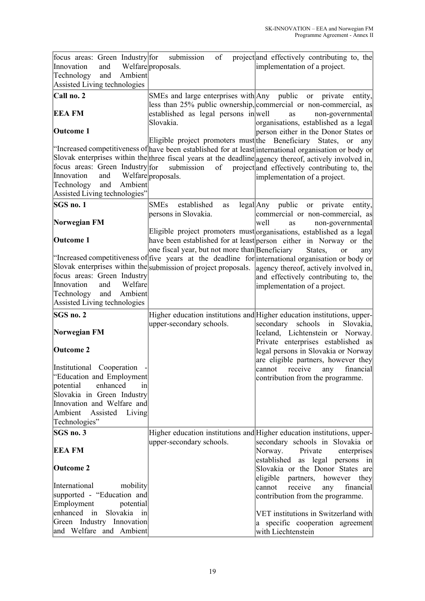| Call no. 2<br>SMEs and large enterprises with Any public or<br>private<br>entity,<br>less than 25% public ownership, commercial or non-commercial, as<br><b>EEA FM</b><br>established as legal persons in well<br>as<br>Slovakia.<br>organisations, established as a legal<br><b>Outcome 1</b><br>person either in the Donor States or<br>Eligible project promoters must the Beneficiary States,<br>or<br>any<br>focus areas: Green Industry for<br>submission<br>of<br>project and effectively contributing to, the<br>Innovation<br>Welfare proposals.<br>and<br>implementation of a project.<br>Ambient<br>and<br>Technology<br>Assisted Living technologies"<br>SGS no. 1<br><b>SMEs</b><br>established<br>legal Any public or<br>private<br>as<br>entity,<br>persons in Slovakia.<br>commercial or non-commercial, as<br>Norwegian FM<br>well<br>as<br>Eligible project promoters must organisations, established as a legal<br><b>Outcome 1</b><br>have been established for at least person either in Norway or the<br>one fiscal year, but not more than Beneficiary<br>States,<br><b>or</b><br>any<br>focus areas: Green Industry<br>and effectively contributing to, the<br>Innovation<br>and<br>Welfare<br>implementation of a project.<br>Ambient<br>Technology<br>and<br>Assisted Living technologies<br>SGS no. 2<br>Higher education institutions and Higher education institutions, upper-<br>schools<br>upper-secondary schools.<br>secondary<br>in<br>Slovakia,<br>Norwegian FM<br>Iceland, Lichtenstein or Norway.<br>Private enterprises established as<br>Outcome 2<br>legal persons in Slovakia or Norway<br>Institutional Cooperation<br>receive<br>cannot<br>any<br>"Education and Employment<br>contribution from the programme.<br>potential<br>enhanced<br>$\left  \text{in} \right $<br>Slovakia in Green Industry<br>Innovation and Welfare and<br>Ambient<br>Assisted<br>Living |
|----------------------------------------------------------------------------------------------------------------------------------------------------------------------------------------------------------------------------------------------------------------------------------------------------------------------------------------------------------------------------------------------------------------------------------------------------------------------------------------------------------------------------------------------------------------------------------------------------------------------------------------------------------------------------------------------------------------------------------------------------------------------------------------------------------------------------------------------------------------------------------------------------------------------------------------------------------------------------------------------------------------------------------------------------------------------------------------------------------------------------------------------------------------------------------------------------------------------------------------------------------------------------------------------------------------------------------------------------------------------------------------------------------------------------------------------------------------------------------------------------------------------------------------------------------------------------------------------------------------------------------------------------------------------------------------------------------------------------------------------------------------------------------------------------------------------------------------------------------------------------------------------------------------|
| non-governmental<br>non-governmental<br>"Increased competitiveness of five years at the deadline for international organisation or body or                                                                                                                                                                                                                                                                                                                                                                                                                                                                                                                                                                                                                                                                                                                                                                                                                                                                                                                                                                                                                                                                                                                                                                                                                                                                                                                                                                                                                                                                                                                                                                                                                                                                                                                                                                     |
|                                                                                                                                                                                                                                                                                                                                                                                                                                                                                                                                                                                                                                                                                                                                                                                                                                                                                                                                                                                                                                                                                                                                                                                                                                                                                                                                                                                                                                                                                                                                                                                                                                                                                                                                                                                                                                                                                                                |
| "Increased competitiveness of have been established for at least international organisation or body or<br>Slovak enterprises within the three fiscal years at the deadline agency thereof, actively involved in,                                                                                                                                                                                                                                                                                                                                                                                                                                                                                                                                                                                                                                                                                                                                                                                                                                                                                                                                                                                                                                                                                                                                                                                                                                                                                                                                                                                                                                                                                                                                                                                                                                                                                               |
|                                                                                                                                                                                                                                                                                                                                                                                                                                                                                                                                                                                                                                                                                                                                                                                                                                                                                                                                                                                                                                                                                                                                                                                                                                                                                                                                                                                                                                                                                                                                                                                                                                                                                                                                                                                                                                                                                                                |
|                                                                                                                                                                                                                                                                                                                                                                                                                                                                                                                                                                                                                                                                                                                                                                                                                                                                                                                                                                                                                                                                                                                                                                                                                                                                                                                                                                                                                                                                                                                                                                                                                                                                                                                                                                                                                                                                                                                |
|                                                                                                                                                                                                                                                                                                                                                                                                                                                                                                                                                                                                                                                                                                                                                                                                                                                                                                                                                                                                                                                                                                                                                                                                                                                                                                                                                                                                                                                                                                                                                                                                                                                                                                                                                                                                                                                                                                                |
|                                                                                                                                                                                                                                                                                                                                                                                                                                                                                                                                                                                                                                                                                                                                                                                                                                                                                                                                                                                                                                                                                                                                                                                                                                                                                                                                                                                                                                                                                                                                                                                                                                                                                                                                                                                                                                                                                                                |
|                                                                                                                                                                                                                                                                                                                                                                                                                                                                                                                                                                                                                                                                                                                                                                                                                                                                                                                                                                                                                                                                                                                                                                                                                                                                                                                                                                                                                                                                                                                                                                                                                                                                                                                                                                                                                                                                                                                |
|                                                                                                                                                                                                                                                                                                                                                                                                                                                                                                                                                                                                                                                                                                                                                                                                                                                                                                                                                                                                                                                                                                                                                                                                                                                                                                                                                                                                                                                                                                                                                                                                                                                                                                                                                                                                                                                                                                                |
|                                                                                                                                                                                                                                                                                                                                                                                                                                                                                                                                                                                                                                                                                                                                                                                                                                                                                                                                                                                                                                                                                                                                                                                                                                                                                                                                                                                                                                                                                                                                                                                                                                                                                                                                                                                                                                                                                                                |
|                                                                                                                                                                                                                                                                                                                                                                                                                                                                                                                                                                                                                                                                                                                                                                                                                                                                                                                                                                                                                                                                                                                                                                                                                                                                                                                                                                                                                                                                                                                                                                                                                                                                                                                                                                                                                                                                                                                |
|                                                                                                                                                                                                                                                                                                                                                                                                                                                                                                                                                                                                                                                                                                                                                                                                                                                                                                                                                                                                                                                                                                                                                                                                                                                                                                                                                                                                                                                                                                                                                                                                                                                                                                                                                                                                                                                                                                                |
|                                                                                                                                                                                                                                                                                                                                                                                                                                                                                                                                                                                                                                                                                                                                                                                                                                                                                                                                                                                                                                                                                                                                                                                                                                                                                                                                                                                                                                                                                                                                                                                                                                                                                                                                                                                                                                                                                                                |
|                                                                                                                                                                                                                                                                                                                                                                                                                                                                                                                                                                                                                                                                                                                                                                                                                                                                                                                                                                                                                                                                                                                                                                                                                                                                                                                                                                                                                                                                                                                                                                                                                                                                                                                                                                                                                                                                                                                |
| Slovak enterprises within the submission of project proposals. agency thereof, actively involved in,<br>are eligible partners, however they<br>financial                                                                                                                                                                                                                                                                                                                                                                                                                                                                                                                                                                                                                                                                                                                                                                                                                                                                                                                                                                                                                                                                                                                                                                                                                                                                                                                                                                                                                                                                                                                                                                                                                                                                                                                                                       |
|                                                                                                                                                                                                                                                                                                                                                                                                                                                                                                                                                                                                                                                                                                                                                                                                                                                                                                                                                                                                                                                                                                                                                                                                                                                                                                                                                                                                                                                                                                                                                                                                                                                                                                                                                                                                                                                                                                                |
|                                                                                                                                                                                                                                                                                                                                                                                                                                                                                                                                                                                                                                                                                                                                                                                                                                                                                                                                                                                                                                                                                                                                                                                                                                                                                                                                                                                                                                                                                                                                                                                                                                                                                                                                                                                                                                                                                                                |
|                                                                                                                                                                                                                                                                                                                                                                                                                                                                                                                                                                                                                                                                                                                                                                                                                                                                                                                                                                                                                                                                                                                                                                                                                                                                                                                                                                                                                                                                                                                                                                                                                                                                                                                                                                                                                                                                                                                |
|                                                                                                                                                                                                                                                                                                                                                                                                                                                                                                                                                                                                                                                                                                                                                                                                                                                                                                                                                                                                                                                                                                                                                                                                                                                                                                                                                                                                                                                                                                                                                                                                                                                                                                                                                                                                                                                                                                                |
|                                                                                                                                                                                                                                                                                                                                                                                                                                                                                                                                                                                                                                                                                                                                                                                                                                                                                                                                                                                                                                                                                                                                                                                                                                                                                                                                                                                                                                                                                                                                                                                                                                                                                                                                                                                                                                                                                                                |
|                                                                                                                                                                                                                                                                                                                                                                                                                                                                                                                                                                                                                                                                                                                                                                                                                                                                                                                                                                                                                                                                                                                                                                                                                                                                                                                                                                                                                                                                                                                                                                                                                                                                                                                                                                                                                                                                                                                |
|                                                                                                                                                                                                                                                                                                                                                                                                                                                                                                                                                                                                                                                                                                                                                                                                                                                                                                                                                                                                                                                                                                                                                                                                                                                                                                                                                                                                                                                                                                                                                                                                                                                                                                                                                                                                                                                                                                                |
|                                                                                                                                                                                                                                                                                                                                                                                                                                                                                                                                                                                                                                                                                                                                                                                                                                                                                                                                                                                                                                                                                                                                                                                                                                                                                                                                                                                                                                                                                                                                                                                                                                                                                                                                                                                                                                                                                                                |
|                                                                                                                                                                                                                                                                                                                                                                                                                                                                                                                                                                                                                                                                                                                                                                                                                                                                                                                                                                                                                                                                                                                                                                                                                                                                                                                                                                                                                                                                                                                                                                                                                                                                                                                                                                                                                                                                                                                |
|                                                                                                                                                                                                                                                                                                                                                                                                                                                                                                                                                                                                                                                                                                                                                                                                                                                                                                                                                                                                                                                                                                                                                                                                                                                                                                                                                                                                                                                                                                                                                                                                                                                                                                                                                                                                                                                                                                                |
|                                                                                                                                                                                                                                                                                                                                                                                                                                                                                                                                                                                                                                                                                                                                                                                                                                                                                                                                                                                                                                                                                                                                                                                                                                                                                                                                                                                                                                                                                                                                                                                                                                                                                                                                                                                                                                                                                                                |
|                                                                                                                                                                                                                                                                                                                                                                                                                                                                                                                                                                                                                                                                                                                                                                                                                                                                                                                                                                                                                                                                                                                                                                                                                                                                                                                                                                                                                                                                                                                                                                                                                                                                                                                                                                                                                                                                                                                |
|                                                                                                                                                                                                                                                                                                                                                                                                                                                                                                                                                                                                                                                                                                                                                                                                                                                                                                                                                                                                                                                                                                                                                                                                                                                                                                                                                                                                                                                                                                                                                                                                                                                                                                                                                                                                                                                                                                                |
|                                                                                                                                                                                                                                                                                                                                                                                                                                                                                                                                                                                                                                                                                                                                                                                                                                                                                                                                                                                                                                                                                                                                                                                                                                                                                                                                                                                                                                                                                                                                                                                                                                                                                                                                                                                                                                                                                                                |
|                                                                                                                                                                                                                                                                                                                                                                                                                                                                                                                                                                                                                                                                                                                                                                                                                                                                                                                                                                                                                                                                                                                                                                                                                                                                                                                                                                                                                                                                                                                                                                                                                                                                                                                                                                                                                                                                                                                |
|                                                                                                                                                                                                                                                                                                                                                                                                                                                                                                                                                                                                                                                                                                                                                                                                                                                                                                                                                                                                                                                                                                                                                                                                                                                                                                                                                                                                                                                                                                                                                                                                                                                                                                                                                                                                                                                                                                                |
|                                                                                                                                                                                                                                                                                                                                                                                                                                                                                                                                                                                                                                                                                                                                                                                                                                                                                                                                                                                                                                                                                                                                                                                                                                                                                                                                                                                                                                                                                                                                                                                                                                                                                                                                                                                                                                                                                                                |
|                                                                                                                                                                                                                                                                                                                                                                                                                                                                                                                                                                                                                                                                                                                                                                                                                                                                                                                                                                                                                                                                                                                                                                                                                                                                                                                                                                                                                                                                                                                                                                                                                                                                                                                                                                                                                                                                                                                |
| Technologies"                                                                                                                                                                                                                                                                                                                                                                                                                                                                                                                                                                                                                                                                                                                                                                                                                                                                                                                                                                                                                                                                                                                                                                                                                                                                                                                                                                                                                                                                                                                                                                                                                                                                                                                                                                                                                                                                                                  |
| SGS no. 3<br>Higher education institutions and Higher education institutions, upper-                                                                                                                                                                                                                                                                                                                                                                                                                                                                                                                                                                                                                                                                                                                                                                                                                                                                                                                                                                                                                                                                                                                                                                                                                                                                                                                                                                                                                                                                                                                                                                                                                                                                                                                                                                                                                           |
| upper-secondary schools.<br>secondary schools in Slovakia or                                                                                                                                                                                                                                                                                                                                                                                                                                                                                                                                                                                                                                                                                                                                                                                                                                                                                                                                                                                                                                                                                                                                                                                                                                                                                                                                                                                                                                                                                                                                                                                                                                                                                                                                                                                                                                                   |
| <b>EEA FM</b><br>Norway.<br>Private<br>enterprises                                                                                                                                                                                                                                                                                                                                                                                                                                                                                                                                                                                                                                                                                                                                                                                                                                                                                                                                                                                                                                                                                                                                                                                                                                                                                                                                                                                                                                                                                                                                                                                                                                                                                                                                                                                                                                                             |
| established as legal persons in<br><b>Outcome 2</b><br>Slovakia or the Donor States are                                                                                                                                                                                                                                                                                                                                                                                                                                                                                                                                                                                                                                                                                                                                                                                                                                                                                                                                                                                                                                                                                                                                                                                                                                                                                                                                                                                                                                                                                                                                                                                                                                                                                                                                                                                                                        |
| eligible<br>partners,<br>however<br>they<br>International<br>mobility<br>cannot<br>receive<br>financial                                                                                                                                                                                                                                                                                                                                                                                                                                                                                                                                                                                                                                                                                                                                                                                                                                                                                                                                                                                                                                                                                                                                                                                                                                                                                                                                                                                                                                                                                                                                                                                                                                                                                                                                                                                                        |
| any<br>supported - "Education and<br>contribution from the programme.                                                                                                                                                                                                                                                                                                                                                                                                                                                                                                                                                                                                                                                                                                                                                                                                                                                                                                                                                                                                                                                                                                                                                                                                                                                                                                                                                                                                                                                                                                                                                                                                                                                                                                                                                                                                                                          |
| Employment<br>potential                                                                                                                                                                                                                                                                                                                                                                                                                                                                                                                                                                                                                                                                                                                                                                                                                                                                                                                                                                                                                                                                                                                                                                                                                                                                                                                                                                                                                                                                                                                                                                                                                                                                                                                                                                                                                                                                                        |
| enhanced<br>Slovakia in<br>in<br>VET institutions in Switzerland with                                                                                                                                                                                                                                                                                                                                                                                                                                                                                                                                                                                                                                                                                                                                                                                                                                                                                                                                                                                                                                                                                                                                                                                                                                                                                                                                                                                                                                                                                                                                                                                                                                                                                                                                                                                                                                          |
| Green Industry Innovation<br>a specific cooperation agreement                                                                                                                                                                                                                                                                                                                                                                                                                                                                                                                                                                                                                                                                                                                                                                                                                                                                                                                                                                                                                                                                                                                                                                                                                                                                                                                                                                                                                                                                                                                                                                                                                                                                                                                                                                                                                                                  |
| and Welfare and Ambient<br>with Liechtenstein                                                                                                                                                                                                                                                                                                                                                                                                                                                                                                                                                                                                                                                                                                                                                                                                                                                                                                                                                                                                                                                                                                                                                                                                                                                                                                                                                                                                                                                                                                                                                                                                                                                                                                                                                                                                                                                                  |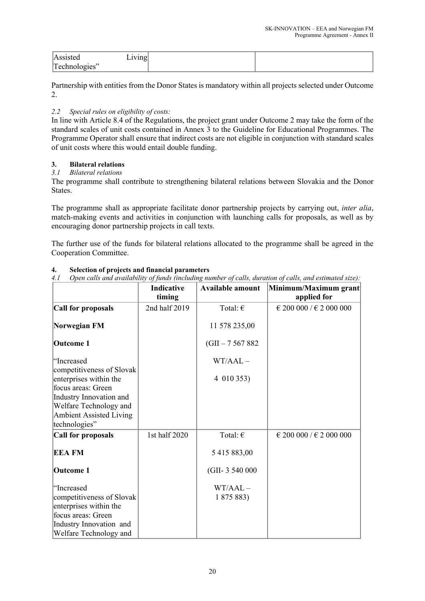|                    | ັ |  |
|--------------------|---|--|
| Technologies"<br>ັ |   |  |

Partnership with entities from the Donor States is mandatory within all projects selected under Outcome 2.

# *2.2 Special rules on eligibility of costs:*

In line with Article 8.4 of the Regulations, the project grant under Outcome 2 may take the form of the standard scales of unit costs contained in Annex 3 to the Guideline for Educational Programmes. The Programme Operator shall ensure that indirect costs are not eligible in conjunction with standard scales of unit costs where this would entail double funding.

# **3. Bilateral relations**

# *3.1 Bilateral relations*

The programme shall contribute to strengthening bilateral relations between Slovakia and the Donor States.

The programme shall as appropriate facilitate donor partnership projects by carrying out, *inter alia*, match-making events and activities in conjunction with launching calls for proposals, as well as by encouraging donor partnership projects in call texts.

The further use of the funds for bilateral relations allocated to the programme shall be agreed in the Cooperation Committee.

|                                                     | <b>Indicative</b><br>timing | <b>Available amount</b> | Minimum/Maximum grant<br>applied for |
|-----------------------------------------------------|-----------------------------|-------------------------|--------------------------------------|
| Call for proposals                                  | 2nd half 2019               | Total: $\epsilon$       | € 200 000 / € 2 000 000              |
| Norwegian FM                                        |                             | 11 578 235,00           |                                      |
| Outcome 1                                           |                             | $(GII - 7567882)$       |                                      |
| "Increased<br>competitiveness of Slovak             |                             | $WT/AAL -$              |                                      |
| enterprises within the<br>focus areas: Green        |                             | 4 010 353)              |                                      |
| Industry Innovation and<br>Welfare Technology and   |                             |                         |                                      |
| <b>Ambient Assisted Living</b><br>technologies"     |                             |                         |                                      |
| Call for proposals                                  | 1st half 2020               | Total: $\in$            | € 200 000 / € 2 000 000              |
| <b>EEAFM</b>                                        |                             | 5 415 883,00            |                                      |
| <b>Outcome 1</b>                                    |                             | (GII- 3 540 000)        |                                      |
| "Increased                                          |                             | $WT/AAL -$              |                                      |
| competitiveness of Slovak<br>enterprises within the |                             | 1 875 883)              |                                      |
| focus areas: Green                                  |                             |                         |                                      |
| Industry Innovation and<br>Welfare Technology and   |                             |                         |                                      |

# **4. Selection of projects and financial parameters**

*4.1 Open calls and availability of funds (including number of calls, duration of calls, and estimated size):*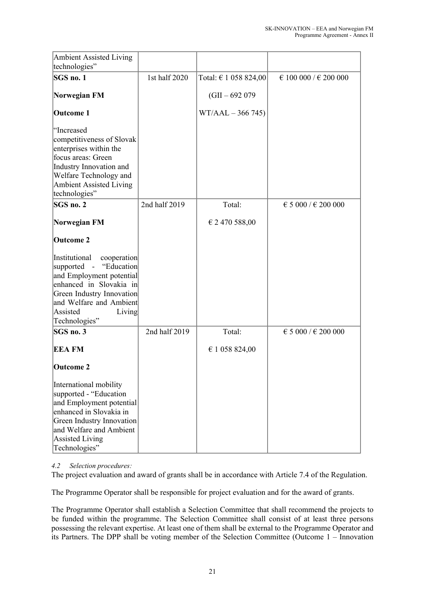| Ambient Assisted Living<br>technologies"                                                                                                                                                                                |               |                           |                       |
|-------------------------------------------------------------------------------------------------------------------------------------------------------------------------------------------------------------------------|---------------|---------------------------|-----------------------|
| SGS no. 1                                                                                                                                                                                                               | 1st half 2020 | Total: $\in$ 1 058 824,00 | € 100 000 / € 200 000 |
| Norwegian FM                                                                                                                                                                                                            |               | $(GII - 692079)$          |                       |
| Outcome 1                                                                                                                                                                                                               |               | $WT/AAL - 366745)$        |                       |
| "Increased<br>competitiveness of Slovak<br>enterprises within the<br>focus areas: Green<br>Industry Innovation and<br>Welfare Technology and<br>Ambient Assisted Living<br>technologies"                                |               |                           |                       |
| SGS no. 2                                                                                                                                                                                                               | 2nd half 2019 | Total:                    | € 5 000 / € 200 000   |
| Norwegian FM                                                                                                                                                                                                            |               | $\epsilon$ 2 470 588,00   |                       |
| Outcome 2                                                                                                                                                                                                               |               |                           |                       |
| Institutional<br>cooperation<br>supported<br>"Education<br>$\sim$<br>and Employment potential<br>enhanced in Slovakia in<br>Green Industry Innovation<br>and Welfare and Ambient<br>Assisted<br>Living<br>Technologies" |               |                           |                       |
| SGS no. 3                                                                                                                                                                                                               | 2nd half 2019 | Total:                    | € 5 000 / € 200 000   |
| <b>EEA FM</b>                                                                                                                                                                                                           |               | € 1 058 824,00            |                       |
| Outcome 2                                                                                                                                                                                                               |               |                           |                       |
| International mobility<br>supported - "Education<br>and Employment potential<br>enhanced in Slovakia in<br>Green Industry Innovation<br>and Welfare and Ambient<br>Assisted Living<br>Technologies"                     |               |                           |                       |

# *4.2 Selection procedures:*

The project evaluation and award of grants shall be in accordance with Article 7.4 of the Regulation.

The Programme Operator shall be responsible for project evaluation and for the award of grants.

The Programme Operator shall establish a Selection Committee that shall recommend the projects to be funded within the programme. The Selection Committee shall consist of at least three persons possessing the relevant expertise. At least one of them shall be external to the Programme Operator and its Partners. The DPP shall be voting member of the Selection Committee (Outcome 1 – Innovation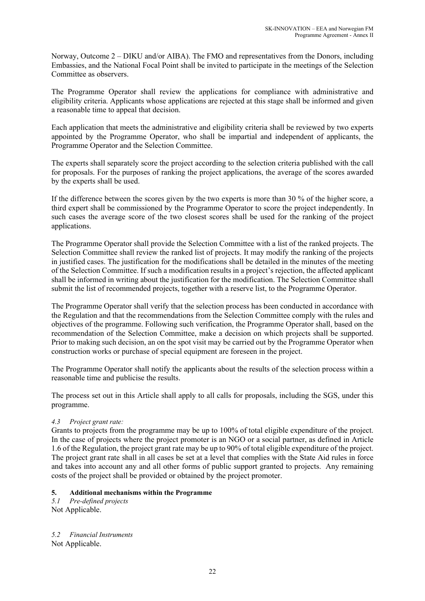Norway, Outcome 2 – DIKU and/or AIBA). The FMO and representatives from the Donors, including Embassies, and the National Focal Point shall be invited to participate in the meetings of the Selection Committee as observers.

The Programme Operator shall review the applications for compliance with administrative and eligibility criteria. Applicants whose applications are rejected at this stage shall be informed and given a reasonable time to appeal that decision.

Each application that meets the administrative and eligibility criteria shall be reviewed by two experts appointed by the Programme Operator, who shall be impartial and independent of applicants, the Programme Operator and the Selection Committee.

The experts shall separately score the project according to the selection criteria published with the call for proposals. For the purposes of ranking the project applications, the average of the scores awarded by the experts shall be used.

If the difference between the scores given by the two experts is more than 30 % of the higher score, a third expert shall be commissioned by the Programme Operator to score the project independently. In such cases the average score of the two closest scores shall be used for the ranking of the project applications.

The Programme Operator shall provide the Selection Committee with a list of the ranked projects. The Selection Committee shall review the ranked list of projects. It may modify the ranking of the projects in justified cases. The justification for the modifications shall be detailed in the minutes of the meeting of the Selection Committee. If such a modification results in a project's rejection, the affected applicant shall be informed in writing about the justification for the modification. The Selection Committee shall submit the list of recommended projects, together with a reserve list, to the Programme Operator.

The Programme Operator shall verify that the selection process has been conducted in accordance with the Regulation and that the recommendations from the Selection Committee comply with the rules and objectives of the programme. Following such verification, the Programme Operator shall, based on the recommendation of the Selection Committee, make a decision on which projects shall be supported. Prior to making such decision, an on the spot visit may be carried out by the Programme Operator when construction works or purchase of special equipment are foreseen in the project.

The Programme Operator shall notify the applicants about the results of the selection process within a reasonable time and publicise the results.

The process set out in this Article shall apply to all calls for proposals, including the SGS, under this programme.

# *4.3 Project grant rate:*

Grants to projects from the programme may be up to 100% of total eligible expenditure of the project. In the case of projects where the project promoter is an NGO or a social partner, as defined in Article 1.6 of the Regulation, the project grant rate may be up to 90% of total eligible expenditure of the project. The project grant rate shall in all cases be set at a level that complies with the State Aid rules in force and takes into account any and all other forms of public support granted to projects. Any remaining costs of the project shall be provided or obtained by the project promoter.

# **5. Additional mechanisms within the Programme**

*5.1 Pre-defined projects* Not Applicable.

*5.2 Financial Instruments* Not Applicable.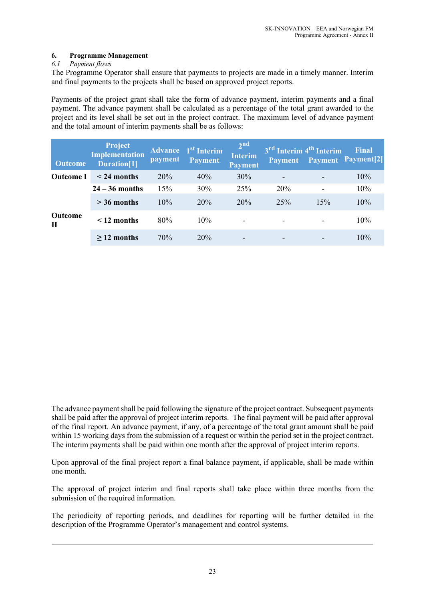# **6. Programme Management**

# *6.1 Payment flows*

The Programme Operator shall ensure that payments to projects are made in a timely manner. Interim and final payments to the projects shall be based on approved project reports.

Payments of the project grant shall take the form of advance payment, interim payments and a final payment. The advance payment shall be calculated as a percentage of the total grant awarded to the project and its level shall be set out in the project contract. The maximum level of advance payment and the total amount of interim payments shall be as follows:

| <b>Outcome</b>                 | Project<br><b>Implementation</b><br>Duration <sup>[1]</sup> | payment | <b>Advance</b> 1 <sup>st</sup> Interim<br><b>Payment</b> | 2 <sup>nd</sup><br><b>Interim</b><br><b>Payment</b> | 3 <sup>rd</sup> Interim 4 <sup>th</sup> Interim<br><b>Payment</b> |     | <b>Final</b><br><b>Payment Payment[2]</b> |
|--------------------------------|-------------------------------------------------------------|---------|----------------------------------------------------------|-----------------------------------------------------|-------------------------------------------------------------------|-----|-------------------------------------------|
| <b>Outcome</b> I               | $\leq$ 24 months                                            | 20%     | 40%                                                      | 30%                                                 | -                                                                 |     | 10%                                       |
| <b>Outcome</b><br>$\mathbf{I}$ | $24 - 36$ months                                            | 15%     | 30%                                                      | 25%                                                 | 20%                                                               |     | 10%                                       |
|                                | $>$ 36 months                                               | 10%     | 20%                                                      | 20%                                                 | 25%                                                               | 15% | 10%                                       |
|                                | $\leq$ 12 months                                            | 80%     | 10%                                                      | $\overline{\phantom{0}}$                            |                                                                   |     | 10%                                       |
|                                | $>12$ months                                                | 70%     | 20%                                                      | $\overline{\phantom{0}}$                            | -                                                                 |     | 10%                                       |

The advance payment shall be paid following the signature of the project contract. Subsequent payments shall be paid after the approval of project interim reports. The final payment will be paid after approval of the final report. An advance payment, if any, of a percentage of the total grant amount shall be paid within 15 working days from the submission of a request or within the period set in the project contract. The interim payments shall be paid within one month after the approval of project interim reports.

Upon approval of the final project report a final balance payment, if applicable, shall be made within one month.

The approval of project interim and final reports shall take place within three months from the submission of the required information.

The periodicity of reporting periods, and deadlines for reporting will be further detailed in the description of the Programme Operator's management and control systems.